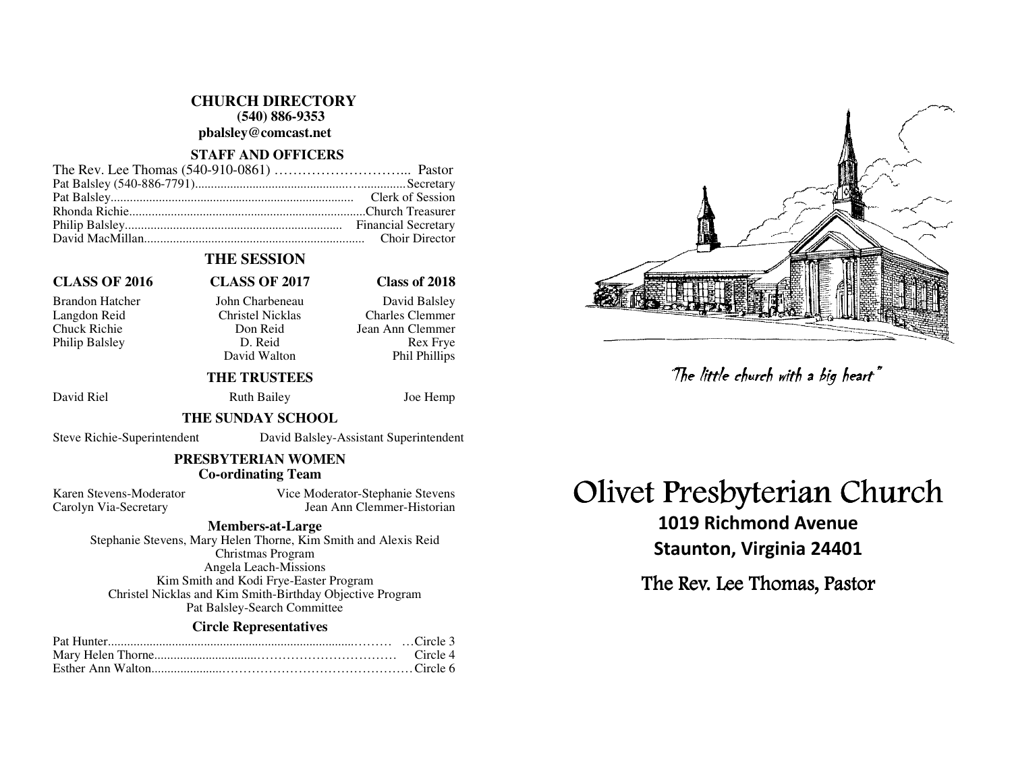**CHURCH DIRECTORY (540) 886-9353** 

**pbalsley@comcast.net** 

#### **STAFF AND OFFICERS**

### **THE SESSION**

## **CLASS OF 2016 CLASS OF 2017 Class of 2018**

Philip Balsley D. Reid

David Walton

#### Brandon Hatcher John Charbeneau David Balsley Langdon Reid Christel Nicklas Charles Clemmer Chuck Richie Don Reid Jean Ann Clemmer **Rex Frve** Phil Phillips

### **THE TRUSTEES**

David Riel **Ruth Bailey** Joe Hemp

#### **THE SUNDAY SCHOOL**

Steve Richie-Superintendent David Balsley-Assistant Superintendent

### **PRESBYTERIAN WOMEN Co-ordinating Team**

Karen Stevens-Moderator Vice Moderator-Stephanie Stevens Carolyn Via-Secretary Jean Ann Clemmer-Historian

#### **Members-at-Large**

 Stephanie Stevens, Mary Helen Thorne, Kim Smith and Alexis Reid Christmas Program Angela Leach-Missions Kim Smith and Kodi Frye-Easter Program Christel Nicklas and Kim Smith-Birthday Objective Program Pat Balsley-Search Committee

#### **Circle Representatives**

# Olivet Presbyterian Church

1019 Richmond Avenue Staunton, Virginia 24401 The little church with a big heart"<br>Presbyterian Chi<br>019 Richmond Avenue<br>aunton, Virginia 24401<br>: Rev. Lee Thomas, Pastor

The Rev. Lee Thomas, Pastor